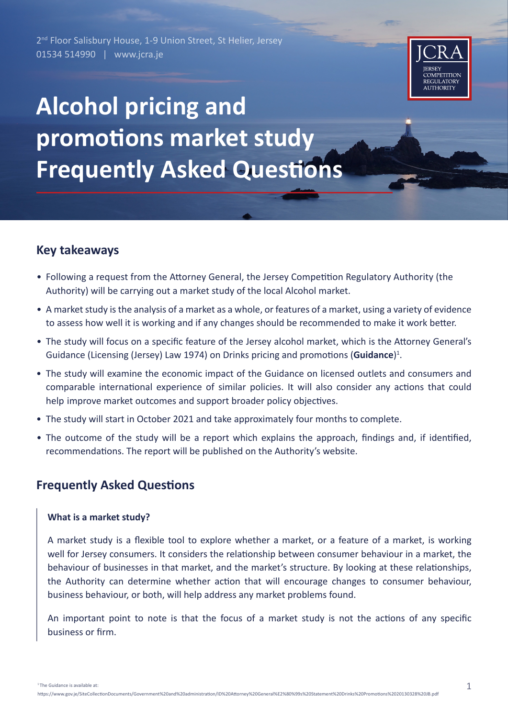2<sup>nd</sup> Floor Salisbury House, 1-9 Union Street, St Helier, Jersey 01534 514990 | www.jcra.je



# **Alcohol pricing and promotions market study Frequently Asked Questions**

# **Key takeaways**

- Following a request from the Attorney General, the Jersey Competition Regulatory Authority (the Authority) will be carrying out a market study of the local Alcohol market.
- A market study is the analysis of a market as a whole, or features of a market, using a variety of evidence to assess how well it is working and if any changes should be recommended to make it work better.
- The study will focus on a specific feature of the Jersey alcohol market, which is the Attorney General's Guidance (Licensing (Jersey) Law 1974) on Drinks pricing and promotions (**Guidance**)<sup>1</sup>.
- The study will examine the economic impact of the Guidance on licensed outlets and consumers and comparable international experience of similar policies. It will also consider any actions that could help improve market outcomes and support broader policy objectives.
- The study will start in October 2021 and take approximately four months to complete.
- The outcome of the study will be a report which explains the approach, findings and, if identified, recommendations. The report will be published on the Authority's website.

# **Frequently Asked Questions**

#### **What is a market study?**

A market study is a flexible tool to explore whether a market, or a feature of a market, is working well for Jersey consumers. It considers the relationship between consumer behaviour in a market, the behaviour of businesses in that market, and the market's structure. By looking at these relationships, the Authority can determine whether action that will encourage changes to consumer behaviour, business behaviour, or both, will help address any market problems found.

An important point to note is that the focus of a market study is not the actions of any specific business or firm.

<sup>1</sup> The Guidance is available at: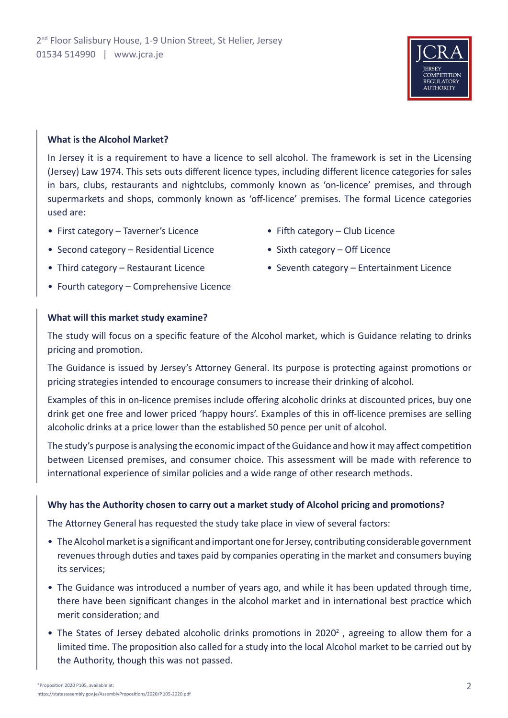

#### **What is the Alcohol Market?**

In Jersey it is a requirement to have a licence to sell alcohol. The framework is set in the Licensing (Jersey) Law 1974. This sets outs different licence types, including different licence categories for sales in bars, clubs, restaurants and nightclubs, commonly known as 'on-licence' premises, and through supermarkets and shops, commonly known as 'off-licence' premises. The formal Licence categories used are:

- First category Taverner's Licence
- Second category Residential Licence
- Third category Restaurant Licence
- Fourth category Comprehensive Licence

#### **What will this market study examine?**

The study will focus on a specific feature of the Alcohol market, which is Guidance relating to drinks pricing and promotion.

The Guidance is issued by Jersey's Attorney General. Its purpose is protecting against promotions or pricing strategies intended to encourage consumers to increase their drinking of alcohol.

Examples of this in on-licence premises include offering alcoholic drinks at discounted prices, buy one drink get one free and lower priced 'happy hours'. Examples of this in off-licence premises are selling alcoholic drinks at a price lower than the established 50 pence per unit of alcohol.

The study's purpose is analysing the economic impact of the Guidance and how it may affect competition between Licensed premises, and consumer choice. This assessment will be made with reference to international experience of similar policies and a wide range of other research methods.

#### **Why has the Authority chosen to carry out a market study of Alcohol pricing and promotions?**

The Attorney General has requested the study take place in view of several factors:

- The Alcohol market is a significant and important one for Jersey, contributing considerable government revenues through duties and taxes paid by companies operating in the market and consumers buying its services;
- The Guidance was introduced a number of years ago, and while it has been updated through time, there have been significant changes in the alcohol market and in international best practice which merit consideration; and
- The States of Jersey debated alcoholic drinks promotions in 2020<sup>2</sup>, agreeing to allow them for a limited time. The proposition also called for a study into the local Alcohol market to be carried out by the Authority, though this was not passed.

2

- Fifth category Club Licence • Sixth category – Off Licence
- Seventh category Entertainment Licence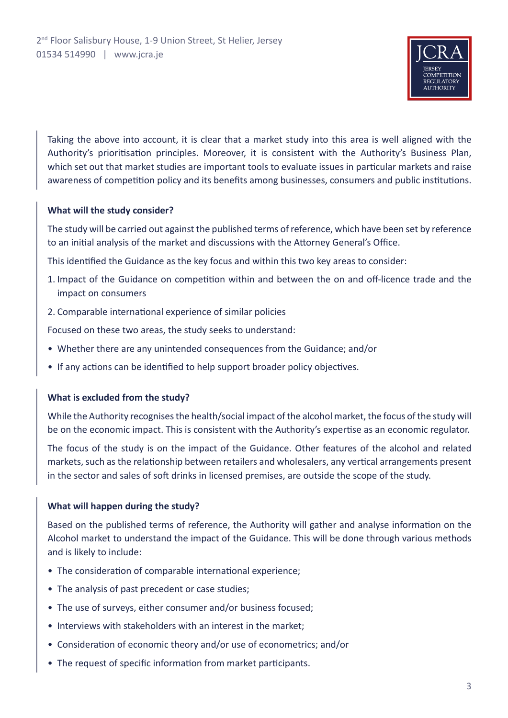

Taking the above into account, it is clear that a market study into this area is well aligned with the Authority's prioritisation principles. Moreover, it is consistent with the Authority's Business Plan, which set out that market studies are important tools to evaluate issues in particular markets and raise awareness of competition policy and its benefits among businesses, consumers and public institutions.

## **What will the study consider?**

The study will be carried out against the published terms of reference, which have been set by reference to an initial analysis of the market and discussions with the Attorney General's Office.

This identified the Guidance as the key focus and within this two key areas to consider:

- 1. Impact of the Guidance on competition within and between the on and off-licence trade and the impact on consumers
- 2. Comparable international experience of similar policies

Focused on these two areas, the study seeks to understand:

- Whether there are any unintended consequences from the Guidance; and/or
- If any actions can be identified to help support broader policy objectives.

## **What is excluded from the study?**

While the Authority recognises the health/social impact of the alcohol market, the focus of the study will be on the economic impact. This is consistent with the Authority's expertise as an economic regulator.

The focus of the study is on the impact of the Guidance. Other features of the alcohol and related markets, such as the relationship between retailers and wholesalers, any vertical arrangements present in the sector and sales of soft drinks in licensed premises, are outside the scope of the study.

## **What will happen during the study?**

Based on the published terms of reference, the Authority will gather and analyse information on the Alcohol market to understand the impact of the Guidance. This will be done through various methods and is likely to include:

- The consideration of comparable international experience;
- The analysis of past precedent or case studies;
- The use of surveys, either consumer and/or business focused;
- Interviews with stakeholders with an interest in the market;
- Consideration of economic theory and/or use of econometrics; and/or
- The request of specific information from market participants.